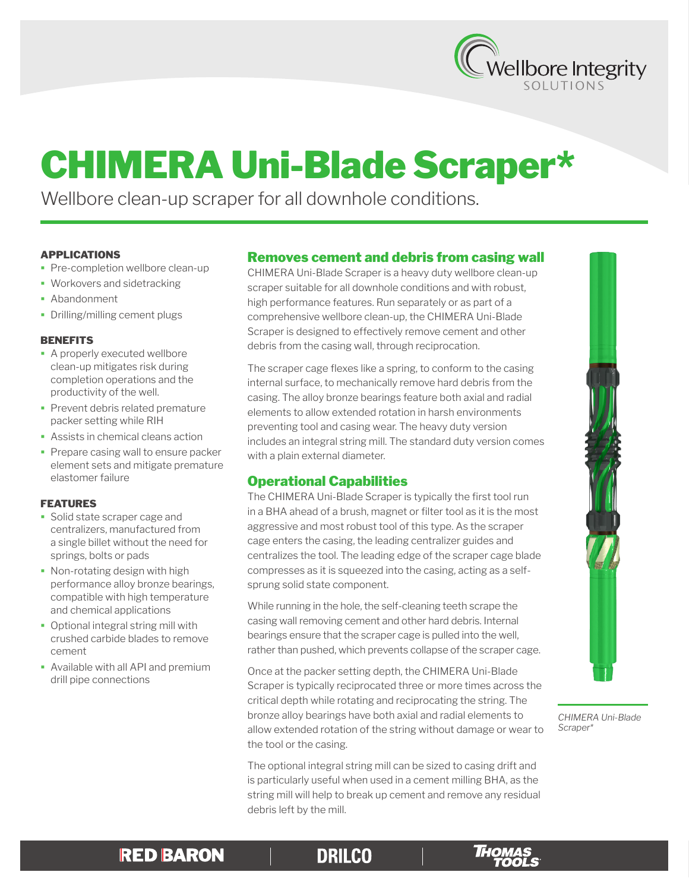

# CHIMERA Uni-Blade Scraper\*

Wellbore clean-up scraper for all downhole conditions.

#### APPLICATIONS

- **Pre-completion wellbore clean-up**
- **Workovers and sidetracking**
- **Abandonment**
- Drilling/milling cement plugs

#### **BENEFITS**

- **A properly executed wellbore** clean-up mitigates risk during completion operations and the productivity of the well.
- **Prevent debris related premature** packer setting while RIH
- Assists in chemical cleans action
- Prepare casing wall to ensure packer element sets and mitigate premature elastomer failure

#### FEATURES

- Solid state scraper cage and centralizers, manufactured from a single billet without the need for springs, bolts or pads
- Non-rotating design with high performance alloy bronze bearings, compatible with high temperature and chemical applications
- Optional integral string mill with crushed carbide blades to remove cement
- Available with all API and premium drill pipe connections

## Removes cement and debris from casing wall

CHIMERA Uni-Blade Scraper is a heavy duty wellbore clean-up scraper suitable for all downhole conditions and with robust, high performance features. Run separately or as part of a comprehensive wellbore clean-up, the CHIMERA Uni-Blade Scraper is designed to effectively remove cement and other debris from the casing wall, through reciprocation.

The scraper cage flexes like a spring, to conform to the casing internal surface, to mechanically remove hard debris from the casing. The alloy bronze bearings feature both axial and radial elements to allow extended rotation in harsh environments preventing tool and casing wear. The heavy duty version includes an integral string mill. The standard duty version comes with a plain external diameter.

# Operational Capabilities

The CHIMERA Uni-Blade Scraper is typically the first tool run in a BHA ahead of a brush, magnet or filter tool as it is the most aggressive and most robust tool of this type. As the scraper cage enters the casing, the leading centralizer guides and centralizes the tool. The leading edge of the scraper cage blade compresses as it is squeezed into the casing, acting as a selfsprung solid state component.

While running in the hole, the self-cleaning teeth scrape the casing wall removing cement and other hard debris. Internal bearings ensure that the scraper cage is pulled into the well, rather than pushed, which prevents collapse of the scraper cage.

Once at the packer setting depth, the CHIMERA Uni-Blade Scraper is typically reciprocated three or more times across the critical depth while rotating and reciprocating the string. The bronze alloy bearings have both axial and radial elements to allow extended rotation of the string without damage or wear to the tool or the casing.

The optional integral string mill can be sized to casing drift and is particularly useful when used in a cement milling BHA, as the string mill will help to break up cement and remove any residual debris left by the mill.



*CHIMERA Uni-Blade Scraper\**

# **RED BARON**